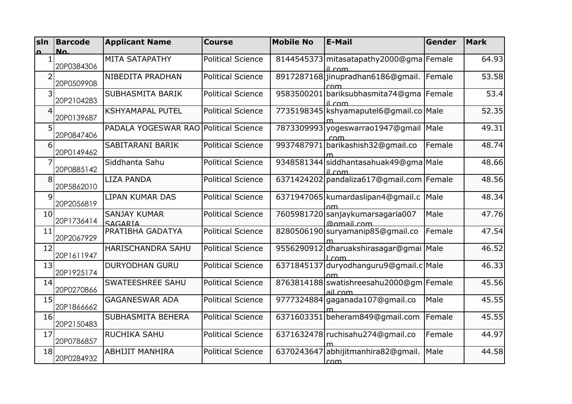| sln             | <b>Barcode</b> | <b>Applicant Name</b>                 | <b>Course</b>            | <b>Mobile No</b> | <b>E-Mail</b>                                         | Gender | <b>Mark</b> |
|-----------------|----------------|---------------------------------------|--------------------------|------------------|-------------------------------------------------------|--------|-------------|
| $\Omega$        | No.            |                                       |                          |                  |                                                       |        |             |
|                 | 20P0384306     | MITA SATAPATHY                        | <b>Political Science</b> |                  | 8144545373 mitasatapathy 2000@gma   Female<br>il com  |        | 64.93       |
| $\overline{2}$  | 20P0509908     | NIBEDITA PRADHAN                      | <b>Political Science</b> |                  | 8917287168 jinupradhan 6186@qmail.<br>rnm             | Female | 53.58       |
| 3               | 20P2104283     | SUBHASMITA BARIK                      | <b>Political Science</b> |                  | 9583500201 bariksubhasmita74@gma   Female<br>il.com   |        | 53.4        |
| $\overline{4}$  | 20P0139687     | <b>KSHYAMAPAL PUTEL</b>               | <b>Political Science</b> |                  | 7735198345 kshyamaputel6@gmail.co Male                |        | 52.35       |
| 5               | 20P0847406     | PADALA YOGESWAR RAO Political Science |                          |                  | 7873309993 yogeswarrao1947@gmail Male                 |        | 49.31       |
| $6 \mid$        | 20P0149462     | SABITARANI BARIK                      | <b>Political Science</b> |                  | 9937487971 barikashish32@gmail.co                     | Female | 48.74       |
| 7               | 20P0885142     | Siddhanta Sahu                        | <b>Political Science</b> |                  | 9348581344 siddhantasahuak49@gma Male<br>il com       |        | 48.66       |
| 8               | 20P5862010     | LIZA PANDA                            | <b>Political Science</b> |                  | 6371424202 pandaliza617@gmail.com Female              |        | 48.56       |
| 9               | 20P2056819     | <b>LIPAN KUMAR DAS</b>                | <b>Political Science</b> |                  | 6371947065 kumardaslipan4@gmail.c                     | Male   | 48.34       |
| 10 <sup>1</sup> | 20P1736414     | <b>SANJAY KUMAR</b><br>SAGARIA        | <b>Political Science</b> |                  | 7605981720 sanjaykumarsagaria007<br>@gmail.com        | Male   | 47.76       |
| 11              | 20P2067929     | PRATIBHA GADATYA                      | <b>Political Science</b> |                  | 8280506190 suryamanip85@gmail.co                      | Female | 47.54       |
| 12              | 20P1611947     | HARISCHANDRA SAHU                     | <b>Political Science</b> |                  | 9556290912 dharuakshirasagar@gmai Male                |        | 46.52       |
| 13              | 20P1925174     | <b>DURYODHAN GURU</b>                 | <b>Political Science</b> |                  | 6371845137 duryodhanguru9@gmail.c Male                |        | 46.33       |
| 14              | 20P0270866     | <b>SWATEESHREE SAHU</b>               | <b>Political Science</b> |                  | 8763814188 swatishreesahu 2000@qm   Female<br>ail.com |        | 45.56       |
| 15              | 20P1866662     | <b>GAGANESWAR ADA</b>                 | <b>Political Science</b> |                  | 9777324884 gaganada107@gmail.co                       | Male   | 45.55       |
| 16              | 20P2150483     | SUBHASMITA BEHERA                     | <b>Political Science</b> |                  | 6371603351 beheram849@qmail.com                       | Female | 45.55       |
| 17              | 20P0786857     | <b>RUCHIKA SAHU</b>                   | <b>Political Science</b> |                  | 6371632478 ruchisahu274@gmail.co                      | Female | 44.97       |
| 18              | 20P0284932     | <b>ABHIJIT MANHIRA</b>                | <b>Political Science</b> |                  | 6370243647 abhijitmanhira82@qmail.<br>com             | Male   | 44.58       |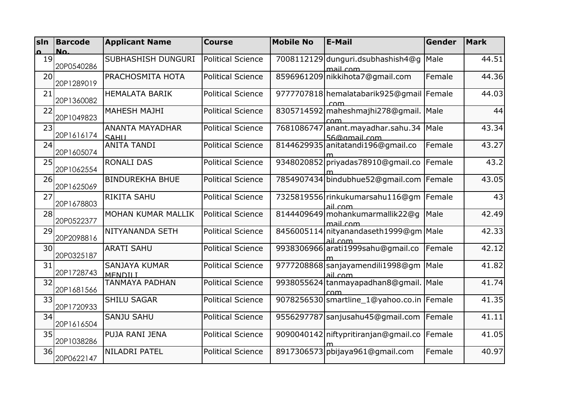| sln             | <b>Barcode</b> | <b>Applicant Name</b>                  | <b>Course</b>            | <b>Mobile No</b> | <b>E-Mail</b>                                     | Gender | <b>Mark</b> |
|-----------------|----------------|----------------------------------------|--------------------------|------------------|---------------------------------------------------|--------|-------------|
| $\Omega$        | No.            |                                        |                          |                  |                                                   |        |             |
| 19              | 20P0540286     | SUBHASHISH DUNGURI                     | <b>Political Science</b> |                  | 7008112129 dunguri.dsubhashish4@g<br>mail.com     | Male   | 44.51       |
| 20              | 20P1289019     | PRACHOSMITA HOTA                       | <b>Political Science</b> |                  | 8596961209 nikkihota7@gmail.com                   | Female | 44.36       |
| 21              | 20P1360082     | <b>HEMALATA BARIK</b>                  | <b>Political Science</b> |                  | 9777707818 hemalatabarik925@gmail Female<br>com   |        | 44.03       |
| 22              | 20P1049823     | <b>MAHESH MAJHI</b>                    | <b>Political Science</b> |                  | 8305714592 maheshmajhi 278@gmail.<br>com          | Male   | 44          |
| 23              | 20P1616174     | ANANTA MAYADHAR<br>SAHU                | <b>Political Science</b> |                  | 7681086747 anant.mayadhar.sahu.34<br>56@gmail.com | Male   | 43.34       |
| 24              | 20P1605074     | <b>ANITA TANDI</b>                     | <b>Political Science</b> |                  | 8144629935 anitatandi 196@gmail.co                | Female | 43.27       |
| 25              | 20P1062554     | <b>RONALI DAS</b>                      | <b>Political Science</b> |                  | 9348020852 priyadas78910@gmail.co                 | Female | 43.2        |
| 26              | 20P1625069     | <b>BINDUREKHA BHUE</b>                 | <b>Political Science</b> |                  | 7854907434 bindubhue 52@gmail.com Female          |        | 43.05       |
| 27              | 20P1678803     | <b>RIKITA SAHU</b>                     | <b>Political Science</b> |                  | 7325819556 rinkukumarsahu116@qm<br>ail com        | Female | 43          |
| 28              | 20P0522377     | MOHAN KUMAR MALLIK                     | <b>Political Science</b> |                  | 8144409649 mohankumarmallik 22@q<br>mail.com      | Male   | 42.49       |
| 29              | 20P2098816     | NITYANANDA SETH                        | <b>Political Science</b> |                  | 8456005114 nityanandaseth1999@gm Male<br>ail com  |        | 42.33       |
| 30 <sup>1</sup> | 20P0325187     | <b>ARATI SAHU</b>                      | <b>Political Science</b> |                  | 9938306966 arati1999 sahu@gmail.co                | Female | 42.12       |
| 31              | 20P1728743     | <b>SANJAYA KUMAR</b><br><b>MENDILI</b> | <b>Political Science</b> |                  | 9777208868 sanjayamendili 1998@gm<br>ail com      | Male   | 41.82       |
| 32              | 20P1681566     | <b>TANMAYA PADHAN</b>                  | <b>Political Science</b> |                  | 9938055624 tanmayapadhan8@gmail.<br>com           | Male   | 41.74       |
| 33              | 20P1720933     | <b>SHILU SAGAR</b>                     | <b>Political Science</b> |                  | 9078256530 smartline_1@yahoo.co.in Female         |        | 41.35       |
| 34              | 20P1616504     | <b>SANJU SAHU</b>                      | <b>Political Science</b> |                  | 9556297787 sanjusahu45@gmail.com                  | Female | 41.11       |
| 35              | 20P1038286     | PUJA RANI JENA                         | <b>Political Science</b> |                  | 9090040142 niftypritiranjan@gmail.co              | Female | 41.05       |
| 36              | 20P0622147     | NILADRI PATEL                          | <b>Political Science</b> |                  | 8917306573 pbijaya961@gmail.com                   | Female | 40.97       |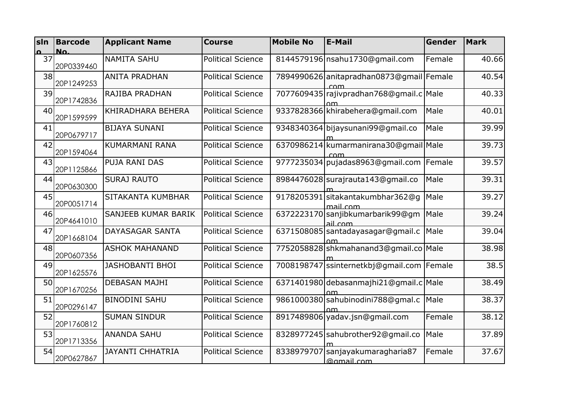| sln      | <b>Barcode</b> | <b>Applicant Name</b>   | <b>Course</b>            | <b>Mobile No</b> | <b>E-Mail</b>                                  | Gender | <b>Mark</b> |
|----------|----------------|-------------------------|--------------------------|------------------|------------------------------------------------|--------|-------------|
| $\Omega$ | No.            |                         |                          |                  |                                                |        |             |
| 37       | 20P0339460     | <b>NAMITA SAHU</b>      | <b>Political Science</b> |                  | 8144579196 nsahu1730@gmail.com                 | Female | 40.66       |
| 38       | 20P1249253     | <b>ANITA PRADHAN</b>    | <b>Political Science</b> |                  | 7894990626 anitapradhan0873@gmail Female       |        | 40.54       |
| 39       | 20P1742836     | RAJIBA PRADHAN          | <b>Political Science</b> |                  | 7077609435 rajivpradhan 768@gmail.c Male       |        | 40.33       |
| 40       | 20P1599599     | KHIRADHARA BEHERA       | <b>Political Science</b> |                  | 9337828366 khirabehera@gmail.com               | Male   | 40.01       |
| 41       | 20P0679717     | <b>BIJAYA SUNANI</b>    | <b>Political Science</b> |                  | 9348340364 bijaysunani99@gmail.co              | Male   | 39.99       |
| 42       | 20P1594064     | KUMARMANI RANA          | <b>Political Science</b> |                  | 6370986214 kumarmanirana 30@gmail Male<br>com  |        | 39.73       |
| 43       | 20P1125866     | PUJA RANI DAS           | <b>Political Science</b> |                  | 9777235034 pujadas8963@gmail.com               | Female | 39.57       |
| 44       | 20P0630300     | <b>SURAJ RAUTO</b>      | <b>Political Science</b> |                  | 8984476028 surajrauta143@gmail.co              | Male   | 39.31       |
| 45       | 20P0051714     | SITAKANTA KUMBHAR       | <b>Political Science</b> |                  | 9178205391 sitakantakumbhar362@g<br>mail com   | Male   | 39.27       |
| 46       | 20P4641010     | SANJEEB KUMAR BARIK     | <b>Political Science</b> |                  | 6372223170 sanjibkumarbarik99@gm<br>ail.com    | Male   | 39.24       |
| 47       | 20P1668104     | <b>DAYASAGAR SANTA</b>  | <b>Political Science</b> |                  | 6371508085 santadayasagar@gmail.c              | Male   | 39.04       |
| 48       | 20P0607356     | <b>ASHOK MAHANAND</b>   | <b>Political Science</b> |                  | 7752058828 shkmahanand3@gmail.co Male          |        | 38.98       |
| 49       | 20P1625576     | <b>JASHOBANTI BHOI</b>  | <b>Political Science</b> |                  | 7008198747 ssinternetkbj@gmail.com Female      |        | 38.5        |
| 50       | 20P1670256     | <b>DEBASAN MAJHI</b>    | <b>Political Science</b> |                  | 6371401980 debasanmajhi21@gmail.c Male         |        | 38.49       |
| 51       | 20P0296147     | <b>BINODINI SAHU</b>    | <b>Political Science</b> |                  | 9861000380 sahubinodini 788@qmal.c<br>om       | Male   | 38.37       |
| 52       | 20P1760812     | <b>SUMAN SINDUR</b>     | <b>Political Science</b> |                  | 8917489806 yadav.jsn@gmail.com                 | Female | 38.12       |
| 53       | 20P1713356     | <b>ANANDA SAHU</b>      | <b>Political Science</b> |                  | 8328977245 sahubrother92@gmail.co              | Male   | 37.89       |
| 54       | 20P0627867     | <b>JAYANTI CHHATRIA</b> | <b>Political Science</b> |                  | 8338979707 sanjayakumaragharia87<br>@gmail.com | Female | 37.67       |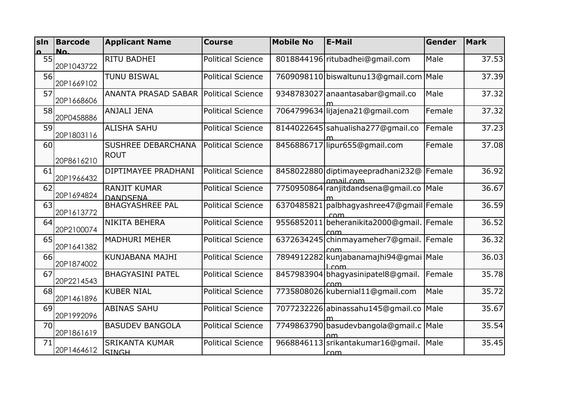| sin      | <b>Barcode</b> | <b>Applicant Name</b>                  | <b>Course</b>            | <b>Mobile No</b> | <b>E-Mail</b>                                       | Gender | <b>Mark</b> |
|----------|----------------|----------------------------------------|--------------------------|------------------|-----------------------------------------------------|--------|-------------|
| $\Omega$ | No.            |                                        |                          |                  |                                                     |        |             |
| 55       | 20P1043722     | <b>RITU BADHEI</b>                     | <b>Political Science</b> |                  | 8018844196 ritubadhei@gmail.com                     | Male   | 37.53       |
| 56       | 20P1669102     | <b>TUNU BISWAL</b>                     | <b>Political Science</b> |                  | 7609098110 biswaltunu13@gmail.com                   | Male   | 37.39       |
| 57       | 20P1668606     | <b>ANANTA PRASAD SABAR</b>             | <b>Political Science</b> |                  | 9348783027 anaantasabar@gmail.co                    | Male   | 37.32       |
| 58       | 20P0458886     | <b>ANJALI JENA</b>                     | <b>Political Science</b> |                  | 7064799634 lijajena21@gmail.com                     | Female | 37.32       |
| 59       | 20P1803116     | <b>ALISHA SAHU</b>                     | <b>Political Science</b> |                  | 8144022645 sahualisha 277@gmail.co                  | Female | 37.23       |
| 60       | 20P8616210     | SUSHREE DEBARCHANA<br><b>ROUT</b>      | <b>Political Science</b> |                  | 8456886717 lipur655@gmail.com                       | Female | 37.08       |
| 61       | 20P1966432     | DIPTIMAYEE PRADHANI                    | <b>Political Science</b> |                  | 8458022880 diptimayeepradhani232@<br>amail.com      | Female | 36.92       |
| 62       | 20P1694824     | <b>RANJIT KUMAR</b><br><b>DANDSENA</b> | <b>Political Science</b> |                  | 7750950864 ranjitdandsena@gmail.co Male             |        | 36.67       |
| 63       | 20P1613772     | <b>BHAGYASHREE PAL</b>                 | <b>Political Science</b> |                  | 6370485821 palbhagyashree47@gmail Female            |        | 36.59       |
| 64       | 20P2100074     | <b>NIKITA BEHERA</b>                   | <b>Political Science</b> |                  | 9556852011 beheranikita 2000@gmail.   Female<br>com |        | 36.52       |
| 65       | 20P1641382     | <b>MADHURI MEHER</b>                   | <b>Political Science</b> |                  | 6372634245 chinmayameher7@gmail.<br>com             | Female | 36.32       |
| 66       | 20P1874002     | KUNJABANA MAJHI                        | <b>Political Science</b> |                  | 7894912282 kunjabanamajhi94@gmai Male<br>$\cap$ m   |        | 36.03       |
| 67       | 20P2214543     | <b>BHAGYASINI PATEL</b>                | <b>Political Science</b> |                  | 8457983904 bhagyasinipatel8@gmail.<br>com           | Female | 35.78       |
| 68       | 20P1461896     | <b>KUBER NIAL</b>                      | <b>Political Science</b> |                  | 7735808026 kubernial11@gmail.com                    | Male   | 35.72       |
| 69       | 20P1992096     | <b>ABINAS SAHU</b>                     | <b>Political Science</b> |                  | 7077232226 abinassahu145@gmail.co                   | Male   | 35.67       |
| 70       | 20P1861619     | <b>BASUDEV BANGOLA</b>                 | <b>Political Science</b> |                  | 7749863790 basudevbangola@gmail.c Male              |        | 35.54       |
| 71       | 20P1464612     | <b>SRIKANTA KUMAR</b><br><b>SINGH</b>  | <b>Political Science</b> |                  | 9668846113 srikantakumar16@gmail.<br>$\sqrt{cm}$    | Male   | 35.45       |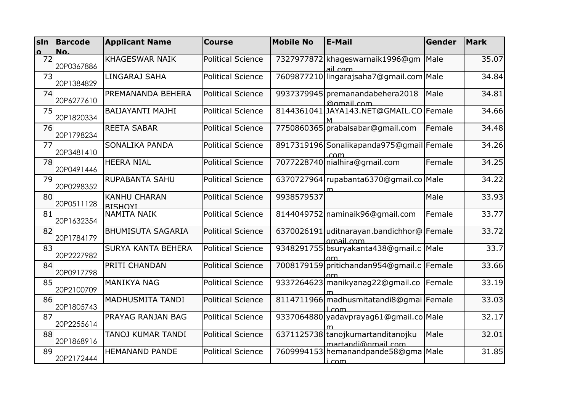| sin      | <b>Barcode</b> | <b>Applicant Name</b>                 | <b>Course</b>            | <b>Mobile No</b> | <b>E-Mail</b>                                              | Gender | <b>Mark</b> |
|----------|----------------|---------------------------------------|--------------------------|------------------|------------------------------------------------------------|--------|-------------|
| $\Omega$ | No.            |                                       |                          |                  |                                                            |        |             |
| 72       | 20P0367886     | <b>KHAGESWAR NAIK</b>                 | <b>Political Science</b> |                  | 7327977872 khageswarnaik1996@gm<br>ail com                 | Male   | 35.07       |
| 73       | 20P1384829     | LINGARAJ SAHA                         | <b>Political Science</b> |                  | 7609877210 lingarajsaha7@gmail.com Male                    |        | 34.84       |
| 74       | 20P6277610     | PREMANANDA BEHERA                     | <b>Political Science</b> |                  | 9937379945 premanandabehera2018<br>@gmail.com              | Male   | 34.81       |
| 75       | 20P1820334     | BAIJAYANTI MAJHI                      | <b>Political Science</b> |                  | 8144361041 JAYA143.NET@GMAIL.CO Female                     |        | 34.66       |
| 76       | 20P1798234     | <b>REETA SABAR</b>                    | <b>Political Science</b> |                  | 7750860365 prabalsabar@gmail.com                           | Female | 34.48       |
| 77       | 20P3481410     | SONALIKA PANDA                        | <b>Political Science</b> |                  | 8917319196 Sonalikapanda 975@gmail Female<br>com           |        | 34.26       |
| 78       | 20P0491446     | <b>HEERA NIAL</b>                     | <b>Political Science</b> |                  | 7077228740 nialhira@gmail.com                              | Female | 34.25       |
| 79       | 20P0298352     | RUPABANTA SAHU                        | <b>Political Science</b> |                  | 6370727964 rupabanta 6370@gmail.co Male                    |        | 34.22       |
| 80       | 20P0511128     | <b>KANHU CHARAN</b><br><b>RISHOYL</b> | <b>Political Science</b> | 9938579537       |                                                            | Male   | 33.93       |
| 81       | 20P1632354     | <b>NAMITA NAIK</b>                    | <b>Political Science</b> |                  | 8144049752 naminaik96@gmail.com                            | Female | 33.77       |
| 82       | 20P1784179     | <b>BHUMISUTA SAGARIA</b>              | <b>Political Science</b> |                  | 6370026191 uditnarayan.bandichhor@ Female<br>amail com     |        | 33.72       |
| 83       | 20P2227982     | <b>SURYA KANTA BEHERA</b>             | <b>Political Science</b> |                  | 9348291755 bsuryakanta438@gmail.c<br>۵m                    | Male   | 33.7        |
| 84       | 20P0917798     | PRITI CHANDAN                         | <b>Political Science</b> |                  | 7008179159 pritichandan954@gmail.c   Female                |        | 33.66       |
| 85       | 20P2100709     | <b>MANIKYA NAG</b>                    | <b>Political Science</b> |                  | 9337264623 manikyanag22@gmail.co                           | Female | 33.19       |
| 86       | 20P1805743     | <b>MADHUSMITA TANDI</b>               | <b>Political Science</b> |                  | 8114711966 madhusmitatandi8@gmai Female<br>_com            |        | 33.03       |
| 87       | 20P2255614     | PRAYAG RANJAN BAG                     | <b>Political Science</b> |                  | 9337064880 yadavprayag61@gmail.co Male                     |        | 32.17       |
| 88       | 20P1868916     | TANOJ KUMAR TANDI                     | <b>Political Science</b> |                  | 6371125738 tanoj kumartan ditanoj ku<br>martandi@gmail.com | Male   | 32.01       |
| 89       | 20P2172444     | <b>HEMANAND PANDE</b>                 | <b>Political Science</b> |                  | 7609994153 hemanandpande 58@gma Male<br>i com              |        | 31.85       |